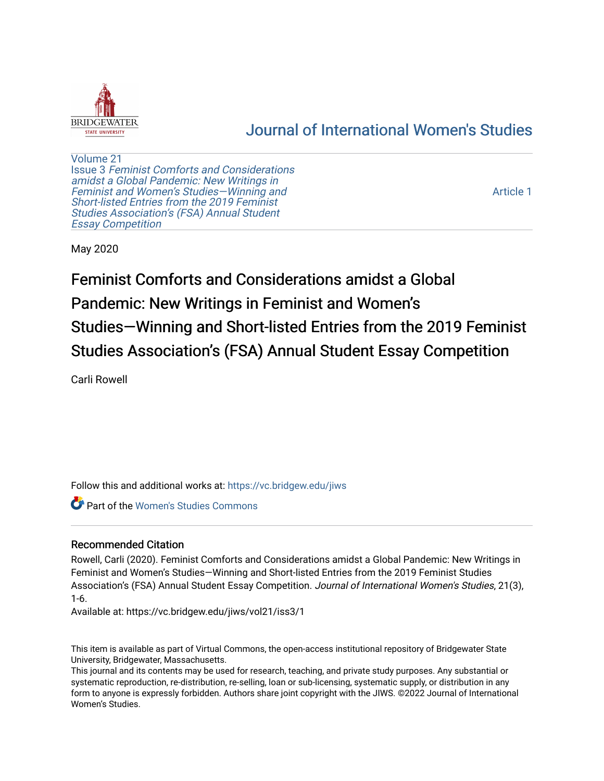

# [Journal of International Women's Studies](https://vc.bridgew.edu/jiws)

[Volume 21](https://vc.bridgew.edu/jiws/vol21) Issue 3 [Feminist Comforts and Considerations](https://vc.bridgew.edu/jiws/vol21/iss3) [amidst a Global Pandemic: New Writings in](https://vc.bridgew.edu/jiws/vol21/iss3)  [Feminist and Women's Studies—Winning and](https://vc.bridgew.edu/jiws/vol21/iss3) [Short-listed Entries from the 2019 Feminist](https://vc.bridgew.edu/jiws/vol21/iss3) [Studies Association's \(FSA\) Annual Student](https://vc.bridgew.edu/jiws/vol21/iss3) [Essay Competition](https://vc.bridgew.edu/jiws/vol21/iss3)

[Article 1](https://vc.bridgew.edu/jiws/vol21/iss3/1) 

May 2020

Feminist Comforts and Considerations amidst a Global Pandemic: New Writings in Feminist and Women's Studies—Winning and Short-listed Entries from the 2019 Feminist Studies Association's (FSA) Annual Student Essay Competition

Carli Rowell

Follow this and additional works at: [https://vc.bridgew.edu/jiws](https://vc.bridgew.edu/jiws?utm_source=vc.bridgew.edu%2Fjiws%2Fvol21%2Fiss3%2F1&utm_medium=PDF&utm_campaign=PDFCoverPages)

**C** Part of the Women's Studies Commons

# Recommended Citation

Rowell, Carli (2020). Feminist Comforts and Considerations amidst a Global Pandemic: New Writings in Feminist and Women's Studies—Winning and Short-listed Entries from the 2019 Feminist Studies Association's (FSA) Annual Student Essay Competition. Journal of International Women's Studies, 21(3), 1-6.

Available at: https://vc.bridgew.edu/jiws/vol21/iss3/1

This item is available as part of Virtual Commons, the open-access institutional repository of Bridgewater State University, Bridgewater, Massachusetts.

This journal and its contents may be used for research, teaching, and private study purposes. Any substantial or systematic reproduction, re-distribution, re-selling, loan or sub-licensing, systematic supply, or distribution in any form to anyone is expressly forbidden. Authors share joint copyright with the JIWS. ©2022 Journal of International Women's Studies.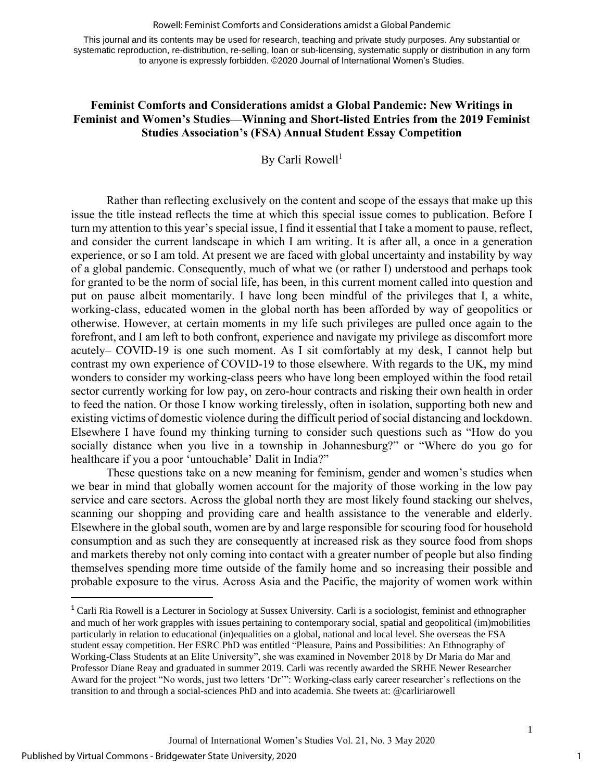#### Rowell: Feminist Comforts and Considerations amidst a Global Pandemic

This journal and its contents may be used for research, teaching and private study purposes. Any substantial or systematic reproduction, re-distribution, re-selling, loan or sub-licensing, systematic supply or distribution in any form to anyone is expressly forbidden. ©2020 Journal of International Women's Studies.

### **Feminist Comforts and Considerations amidst a Global Pandemic: New Writings in Feminist and Women's Studies—Winning and Short-listed Entries from the 2019 Feminist Studies Association's (FSA) Annual Student Essay Competition**

By Carli Rowell<sup>1</sup>

Rather than reflecting exclusively on the content and scope of the essays that make up this issue the title instead reflects the time at which this special issue comes to publication. Before I turn my attention to this year's special issue, I find it essential that I take a moment to pause, reflect, and consider the current landscape in which I am writing. It is after all, a once in a generation experience, or so I am told. At present we are faced with global uncertainty and instability by way of a global pandemic. Consequently, much of what we (or rather I) understood and perhaps took for granted to be the norm of social life, has been, in this current moment called into question and put on pause albeit momentarily. I have long been mindful of the privileges that I, a white, working-class, educated women in the global north has been afforded by way of geopolitics or otherwise. However, at certain moments in my life such privileges are pulled once again to the forefront, and I am left to both confront, experience and navigate my privilege as discomfort more acutely– COVID-19 is one such moment. As I sit comfortably at my desk, I cannot help but contrast my own experience of COVID-19 to those elsewhere. With regards to the UK, my mind wonders to consider my working-class peers who have long been employed within the food retail sector currently working for low pay, on zero-hour contracts and risking their own health in order to feed the nation. Or those I know working tirelessly, often in isolation, supporting both new and existing victims of domestic violence during the difficult period of social distancing and lockdown. Elsewhere I have found my thinking turning to consider such questions such as "How do you socially distance when you live in a township in Johannesburg?" or "Where do you go for healthcare if you a poor 'untouchable' Dalit in India?"

These questions take on a new meaning for feminism, gender and women's studies when we bear in mind that globally women account for the majority of those working in the low pay service and care sectors. Across the global north they are most likely found stacking our shelves, scanning our shopping and providing care and health assistance to the venerable and elderly. Elsewhere in the global south, women are by and large responsible for scouring food for household consumption and as such they are consequently at increased risk as they source food from shops and markets thereby not only coming into contact with a greater number of people but also finding themselves spending more time outside of the family home and so increasing their possible and probable exposure to the virus. Across Asia and the Pacific, the majority of women work within

1

<sup>&</sup>lt;sup>1</sup> Carli Ria Rowell is a Lecturer in Sociology at Sussex University. Carli is a sociologist, feminist and ethnographer and much of her work grapples with issues pertaining to contemporary social, spatial and geopolitical (im)mobilities particularly in relation to educational (in)equalities on a global, national and local level. She overseas the FSA student essay competition. Her ESRC PhD was entitled "Pleasure, Pains and Possibilities: An Ethnography of Working-Class Students at an Elite University", she was examined in November 2018 by Dr Maria do Mar and Professor Diane Reay and graduated in summer 2019. Carli was recently awarded the SRHE Newer Researcher Award for the project "No words, just two letters 'Dr'": Working-class early career researcher's reflections on the transition to and through a social-sciences PhD and into academia. She tweets at: @carliriarowell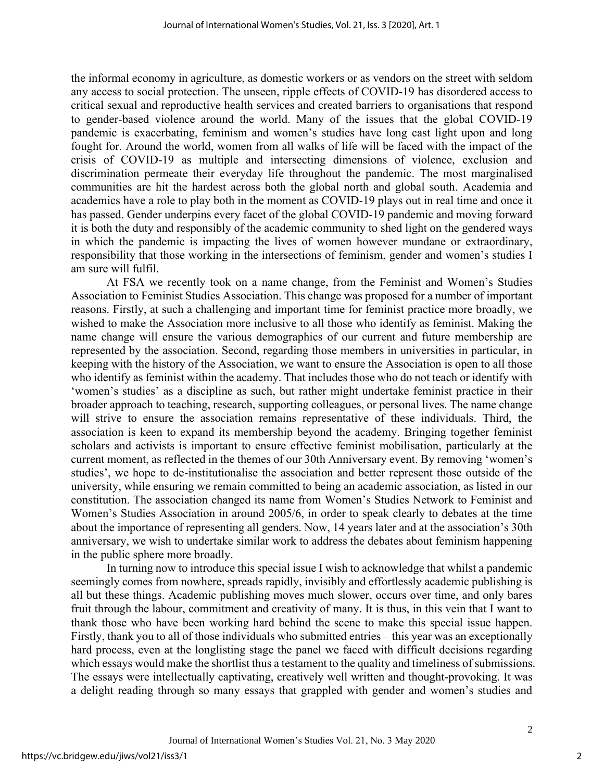the informal economy in agriculture, as domestic workers or as vendors on the street with seldom any access to social protection. The unseen, ripple effects of COVID-19 has disordered access to critical sexual and reproductive health services and created barriers to organisations that respond to gender-based violence around the world. Many of the issues that the global COVID-19 pandemic is exacerbating, feminism and women's studies have long cast light upon and long fought for. Around the world, women from all walks of life will be faced with the impact of the crisis of COVID-19 as multiple and intersecting dimensions of violence, exclusion and discrimination permeate their everyday life throughout the pandemic. The most marginalised communities are hit the hardest across both the global north and global south. Academia and academics have a role to play both in the moment as COVID-19 plays out in real time and once it has passed. Gender underpins every facet of the global COVID-19 pandemic and moving forward it is both the duty and responsibly of the academic community to shed light on the gendered ways in which the pandemic is impacting the lives of women however mundane or extraordinary, responsibility that those working in the intersections of feminism, gender and women's studies I am sure will fulfil.

At FSA we recently took on a name change, from the Feminist and Women's Studies Association to Feminist Studies Association. This change was proposed for a number of important reasons. Firstly, at such a challenging and important time for feminist practice more broadly, we wished to make the Association more inclusive to all those who identify as feminist. Making the name change will ensure the various demographics of our current and future membership are represented by the association. Second, regarding those members in universities in particular, in keeping with the history of the Association, we want to ensure the Association is open to all those who identify as feminist within the academy. That includes those who do not teach or identify with 'women's studies' as a discipline as such, but rather might undertake feminist practice in their broader approach to teaching, research, supporting colleagues, or personal lives. The name change will strive to ensure the association remains representative of these individuals. Third, the association is keen to expand its membership beyond the academy. Bringing together feminist scholars and activists is important to ensure effective feminist mobilisation, particularly at the current moment, as reflected in the themes of our 30th Anniversary event. By removing 'women's studies', we hope to de-institutionalise the association and better represent those outside of the university, while ensuring we remain committed to being an academic association, as listed in our constitution. The association changed its name from Women's Studies Network to Feminist and Women's Studies Association in around 2005/6, in order to speak clearly to debates at the time about the importance of representing all genders. Now, 14 years later and at the association's 30th anniversary, we wish to undertake similar work to address the debates about feminism happening in the public sphere more broadly.

In turning now to introduce this special issue I wish to acknowledge that whilst a pandemic seemingly comes from nowhere, spreads rapidly, invisibly and effortlessly academic publishing is all but these things. Academic publishing moves much slower, occurs over time, and only bares fruit through the labour, commitment and creativity of many. It is thus, in this vein that I want to thank those who have been working hard behind the scene to make this special issue happen. Firstly, thank you to all of those individuals who submitted entries – this year was an exceptionally hard process, even at the longlisting stage the panel we faced with difficult decisions regarding which essays would make the shortlist thus a testament to the quality and timeliness of submissions. The essays were intellectually captivating, creatively well written and thought-provoking. It was a delight reading through so many essays that grappled with gender and women's studies and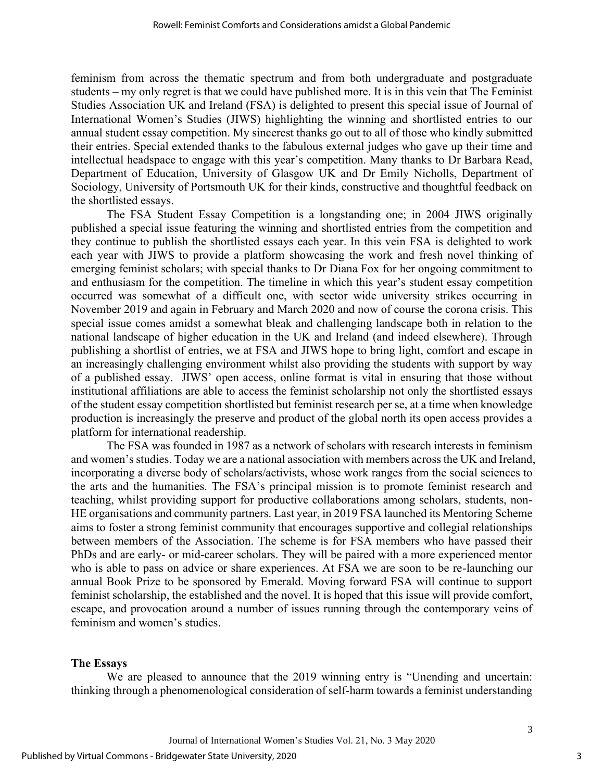feminism from across the thematic spectrum and from both undergraduate and postgraduate students – my only regret is that we could have published more. It is in this vein that The Feminist Studies Association UK and Ireland (FSA) is delighted to present this special issue of Journal of International Women's Studies (JIWS) highlighting the winning and shortlisted entries to our annual student essay competition. My sincerest thanks go out to all of those who kindly submitted their entries. Special extended thanks to the fabulous external judges who gave up their time and intellectual headspace to engage with this year's competition. Many thanks to Dr Barbara Read, Department of Education, University of Glasgow UK and Dr Emily Nicholls, Department of Sociology, University of Portsmouth UK for their kinds, constructive and thoughtful feedback on the shortlisted essays.

The FSA Student Essay Competition is a longstanding one; in 2004 JIWS originally published a special issue featuring the winning and shortlisted entries from the competition and they continue to publish the shortlisted essays each year. In this vein FSA is delighted to work each year with JIWS to provide a platform showcasing the work and fresh novel thinking of emerging feminist scholars; with special thanks to Dr Diana Fox for her ongoing commitment to and enthusiasm for the competition. The timeline in which this year's student essay competition occurred was somewhat of a difficult one, with sector wide university strikes occurring in November 2019 and again in February and March 2020 and now of course the corona crisis. This special issue comes amidst a somewhat bleak and challenging landscape both in relation to the national landscape of higher education in the UK and Ireland (and indeed elsewhere). Through publishing a shortlist of entries, we at FSA and JIWS hope to bring light, comfort and escape in an increasingly challenging environment whilst also providing the students with support by way of a published essay. JIWS' open access, online format is vital in ensuring that those without institutional affiliations are able to access the feminist scholarship not only the shortlisted essays of the student essay competition shortlisted but feminist research per se, at a time when knowledge production is increasingly the preserve and product of the global north its open access provides a platform for international readership.

The FSA was founded in 1987 as a network of scholars with research interests in feminism and women's studies. Today we are a national association with members across the UK and Ireland, incorporating a diverse body of scholars/activists, whose work ranges from the social sciences to the arts and the humanities. The FSA's principal mission is to promote feminist research and teaching, whilst providing support for productive collaborations among scholars, students, non-HE organisations and community partners. Last year, in 2019 FSA launched its Mentoring Scheme aims to foster a strong feminist community that encourages supportive and collegial relationships between members of the Association. The scheme is for FSA members who have passed their PhDs and are early- or mid-career scholars. They will be paired with a more experienced mentor who is able to pass on advice or share experiences. At FSA we are soon to be re-launching our annual Book Prize to be sponsored by Emerald. Moving forward FSA will continue to support feminist scholarship, the established and the novel. It is hoped that this issue will provide comfort, escape, and provocation around a number of issues running through the contemporary veins of feminism and women's studies.

#### **The Essays**

We are pleased to announce that the 2019 winning entry is "Unending and uncertain: thinking through a phenomenological consideration of self-harm towards a feminist understanding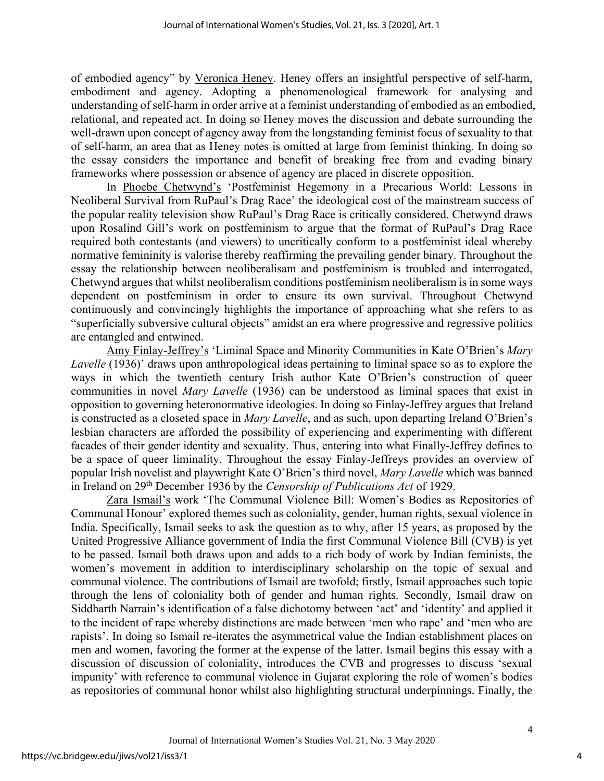of embodied agency" by Veronica Heney. Heney offers an insightful perspective of self-harm, embodiment and agency. Adopting a phenomenological framework for analysing and understanding of self-harm in order arrive at a feminist understanding of embodied as an embodied, relational, and repeated act. In doing so Heney moves the discussion and debate surrounding the well-drawn upon concept of agency away from the longstanding feminist focus of sexuality to that of self-harm, an area that as Heney notes is omitted at large from feminist thinking. In doing so the essay considers the importance and benefit of breaking free from and evading binary frameworks where possession or absence of agency are placed in discrete opposition.

In Phoebe Chetwynd's 'Postfeminist Hegemony in a Precarious World: Lessons in Neoliberal Survival from RuPaul's Drag Race' the ideological cost of the mainstream success of the popular reality television show RuPaul's Drag Race is critically considered. Chetwynd draws upon Rosalind Gill's work on postfeminism to argue that the format of RuPaul's Drag Race required both contestants (and viewers) to uncritically conform to a postfeminist ideal whereby normative femininity is valorise thereby reaffirming the prevailing gender binary. Throughout the essay the relationship between neoliberalisam and postfeminism is troubled and interrogated, Chetwynd argues that whilst neoliberalism conditions postfeminism neoliberalism is in some ways dependent on postfeminism in order to ensure its own survival. Throughout Chetwynd continuously and convincingly highlights the importance of approaching what she refers to as "superficially subversive cultural objects" amidst an era where progressive and regressive politics are entangled and entwined.

Amy Finlay-Jeffrey's 'Liminal Space and Minority Communities in Kate O'Brien's *Mary Lavelle* (1936)' draws upon anthropological ideas pertaining to liminal space so as to explore the ways in which the twentieth century Irish author Kate O'Brien's construction of queer communities in novel *Mary Lavelle* (1936) can be understood as liminal spaces that exist in opposition to governing heteronormative ideologies. In doing so Finlay-Jeffrey argues that Ireland is constructed as a closeted space in *Mary Lavelle*, and as such, upon departing Ireland O'Brien's lesbian characters are afforded the possibility of experiencing and experimenting with different facades of their gender identity and sexuality. Thus, entering into what Finally-Jeffrey defines to be a space of queer liminality. Throughout the essay Finlay-Jeffreys provides an overview of popular Irish novelist and playwright Kate O'Brien's third novel, *Mary Lavelle* which was banned in Ireland on 29th December 1936 by the *Censorship of Publications Act* of 1929.

Zara Ismail's work 'The Communal Violence Bill: Women's Bodies as Repositories of Communal Honour' explored themes such as coloniality, gender, human rights, sexual violence in India. Specifically, Ismail seeks to ask the question as to why, after 15 years, as proposed by the United Progressive Alliance government of India the first Communal Violence Bill (CVB) is yet to be passed. Ismail both draws upon and adds to a rich body of work by Indian feminists, the women's movement in addition to interdisciplinary scholarship on the topic of sexual and communal violence. The contributions of Ismail are twofold; firstly, Ismail approaches such topic through the lens of coloniality both of gender and human rights. Secondly, Ismail draw on Siddharth Narrain's identification of a false dichotomy between 'act' and 'identity' and applied it to the incident of rape whereby distinctions are made between 'men who rape' and 'men who are rapists'. In doing so Ismail re-iterates the asymmetrical value the Indian establishment places on men and women, favoring the former at the expense of the latter. Ismail begins this essay with a discussion of discussion of coloniality, introduces the CVB and progresses to discuss 'sexual impunity' with reference to communal violence in Gujarat exploring the role of women's bodies as repositories of communal honor whilst also highlighting structural underpinnings. Finally, the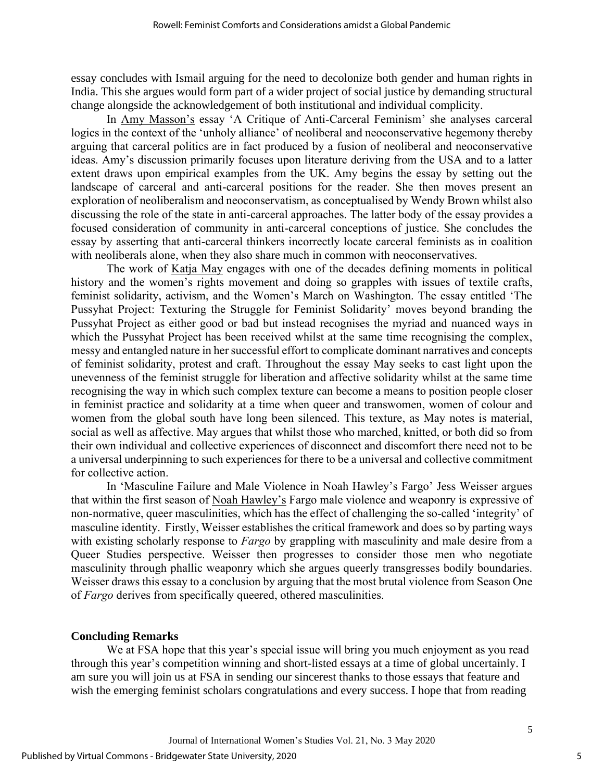essay concludes with Ismail arguing for the need to decolonize both gender and human rights in India. This she argues would form part of a wider project of social justice by demanding structural change alongside the acknowledgement of both institutional and individual complicity.

In Amy Masson's essay 'A Critique of Anti-Carceral Feminism' she analyses carceral logics in the context of the 'unholy alliance' of neoliberal and neoconservative hegemony thereby arguing that carceral politics are in fact produced by a fusion of neoliberal and neoconservative ideas. Amy's discussion primarily focuses upon literature deriving from the USA and to a latter extent draws upon empirical examples from the UK. Amy begins the essay by setting out the landscape of carceral and anti-carceral positions for the reader. She then moves present an exploration of neoliberalism and neoconservatism, as conceptualised by Wendy Brown whilst also discussing the role of the state in anti-carceral approaches. The latter body of the essay provides a focused consideration of community in anti-carceral conceptions of justice. She concludes the essay by asserting that anti-carceral thinkers incorrectly locate carceral feminists as in coalition with neoliberals alone, when they also share much in common with neoconservatives.

The work of Katja May engages with one of the decades defining moments in political history and the women's rights movement and doing so grapples with issues of textile crafts, feminist solidarity, activism, and the Women's March on Washington. The essay entitled 'The Pussyhat Project: Texturing the Struggle for Feminist Solidarity' moves beyond branding the Pussyhat Project as either good or bad but instead recognises the myriad and nuanced ways in which the Pussyhat Project has been received whilst at the same time recognising the complex, messy and entangled nature in her successful effort to complicate dominant narratives and concepts of feminist solidarity, protest and craft. Throughout the essay May seeks to cast light upon the unevenness of the feminist struggle for liberation and affective solidarity whilst at the same time recognising the way in which such complex texture can become a means to position people closer in feminist practice and solidarity at a time when queer and transwomen, women of colour and women from the global south have long been silenced. This texture, as May notes is material, social as well as affective. May argues that whilst those who marched, knitted, or both did so from their own individual and collective experiences of disconnect and discomfort there need not to be a universal underpinning to such experiences for there to be a universal and collective commitment for collective action.

In 'Masculine Failure and Male Violence in Noah Hawley's Fargo' Jess Weisser argues that within the first season of Noah Hawley's Fargo male violence and weaponry is expressive of non-normative, queer masculinities, which has the effect of challenging the so-called 'integrity' of masculine identity. Firstly, Weisser establishes the critical framework and does so by parting ways with existing scholarly response to *Fargo* by grappling with masculinity and male desire from a Queer Studies perspective. Weisser then progresses to consider those men who negotiate masculinity through phallic weaponry which she argues queerly transgresses bodily boundaries. Weisser draws this essay to a conclusion by arguing that the most brutal violence from Season One of *Fargo* derives from specifically queered, othered masculinities.

# **Concluding Remarks**

We at FSA hope that this year's special issue will bring you much enjoyment as you read through this year's competition winning and short-listed essays at a time of global uncertainly. I am sure you will join us at FSA in sending our sincerest thanks to those essays that feature and wish the emerging feminist scholars congratulations and every success. I hope that from reading